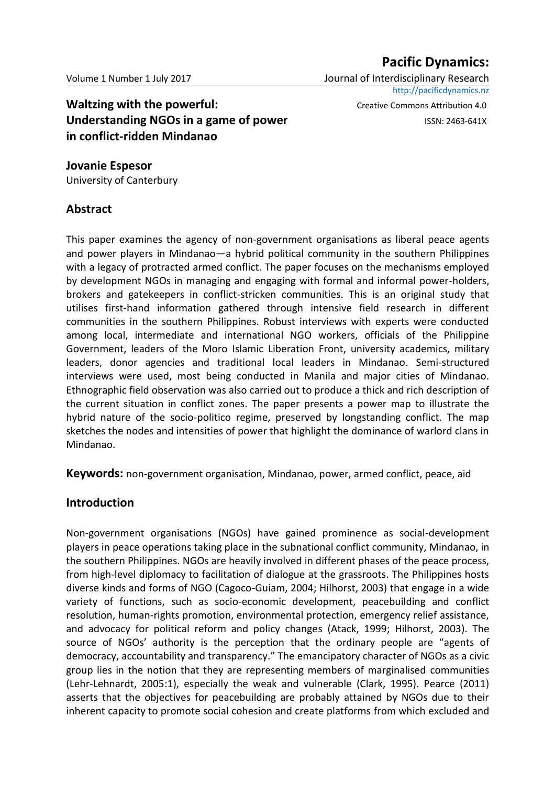# **Pacific Dynamics:**

Volume 1 Number 1 July 2017 Journal of Interdisciplinary Research [http://pacificdynamics.nz](http://pacificdynamics.nz/)

**Waltzing with the powerful:**  $\qquad \qquad \text{Create Commons Attribution 4.0}$ **Understanding NGOs in a game of power ISSN: 2463-641X in conflict-ridden Mindanao** 

**Jovanie Espesor** University of Canterbury

#### **Abstract**

This paper examines the agency of non-government organisations as liberal peace agents and power players in Mindanao—a hybrid political community in the southern Philippines with a legacy of protracted armed conflict. The paper focuses on the mechanisms employed by development NGOs in managing and engaging with formal and informal power-holders, brokers and gatekeepers in conflict-stricken communities. This is an original study that utilises first-hand information gathered through intensive field research in different communities in the southern Philippines. Robust interviews with experts were conducted among local, intermediate and international NGO workers, officials of the Philippine Government, leaders of the Moro Islamic Liberation Front, university academics, military leaders, donor agencies and traditional local leaders in Mindanao. Semi-structured interviews were used, most being conducted in Manila and major cities of Mindanao. Ethnographic field observation was also carried out to produce a thick and rich description of the current situation in conflict zones. The paper presents a power map to illustrate the hybrid nature of the socio-politico regime, preserved by longstanding conflict. The map sketches the nodes and intensities of power that highlight the dominance of warlord clans in Mindanao.

**Keywords:** non-government organisation, Mindanao, power, armed conflict, peace, aid

### **Introduction**

Non-government organisations (NGOs) have gained prominence as social-development players in peace operations taking place in the subnational conflict community, Mindanao, in the southern Philippines. NGOs are heavily involved in different phases of the peace process, from high-level diplomacy to facilitation of dialogue at the grassroots. The Philippines hosts diverse kinds and forms of NGO (Cagoco-Guiam, 2004; Hilhorst, 2003) that engage in a wide variety of functions, such as socio-economic development, peacebuilding and conflict resolution, human-rights promotion, environmental protection, emergency relief assistance, and advocacy for political reform and policy changes (Atack, 1999; Hilhorst, 2003). The source of NGOs' authority is the perception that the ordinary people are "agents of democracy, accountability and transparency." The emancipatory character of NGOs as a civic group lies in the notion that they are representing members of marginalised communities (Lehr-Lehnardt, 2005:1), especially the weak and vulnerable (Clark, 1995). Pearce (2011) asserts that the objectives for peacebuilding are probably attained by NGOs due to their inherent capacity to promote social cohesion and create platforms from which excluded and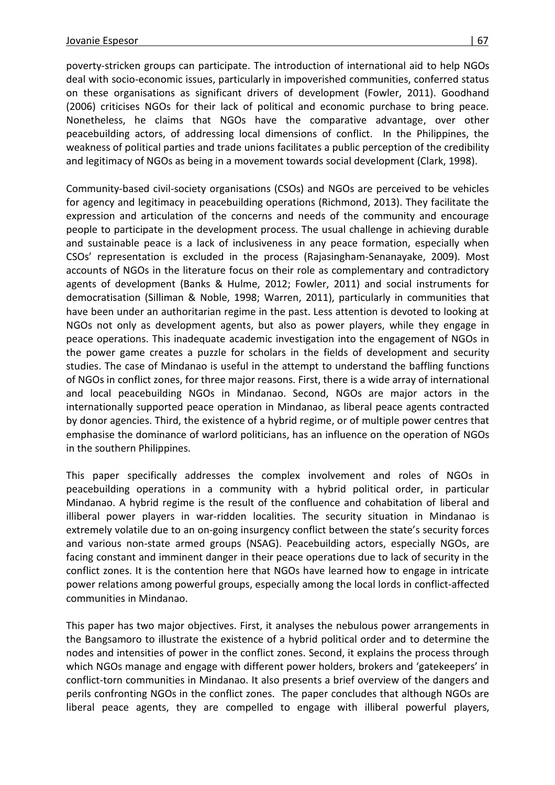poverty-stricken groups can participate. The introduction of international aid to help NGOs deal with socio-economic issues, particularly in impoverished communities, conferred status on these organisations as significant drivers of development (Fowler, 2011). Goodhand (2006) criticises NGOs for their lack of political and economic purchase to bring peace. Nonetheless, he claims that NGOs have the comparative advantage, over other peacebuilding actors, of addressing local dimensions of conflict. In the Philippines, the weakness of political parties and trade unions facilitates a public perception of the credibility and legitimacy of NGOs as being in a movement towards social development (Clark, 1998).

Community-based civil-society organisations (CSOs) and NGOs are perceived to be vehicles for agency and legitimacy in peacebuilding operations (Richmond, 2013). They facilitate the expression and articulation of the concerns and needs of the community and encourage people to participate in the development process. The usual challenge in achieving durable and sustainable peace is a lack of inclusiveness in any peace formation, especially when CSOs' representation is excluded in the process (Rajasingham-Senanayake, 2009). Most accounts of NGOs in the literature focus on their role as complementary and contradictory agents of development (Banks & Hulme, 2012; Fowler, 2011) and social instruments for democratisation (Silliman & Noble, 1998; Warren, 2011), particularly in communities that have been under an authoritarian regime in the past. Less attention is devoted to looking at NGOs not only as development agents, but also as power players, while they engage in peace operations. This inadequate academic investigation into the engagement of NGOs in the power game creates a puzzle for scholars in the fields of development and security studies. The case of Mindanao is useful in the attempt to understand the baffling functions of NGOs in conflict zones, for three major reasons. First, there is a wide array of international and local peacebuilding NGOs in Mindanao. Second, NGOs are major actors in the internationally supported peace operation in Mindanao, as liberal peace agents contracted by donor agencies. Third, the existence of a hybrid regime, or of multiple power centres that emphasise the dominance of warlord politicians, has an influence on the operation of NGOs in the southern Philippines.

This paper specifically addresses the complex involvement and roles of NGOs in peacebuilding operations in a community with a hybrid political order, in particular Mindanao. A hybrid regime is the result of the confluence and cohabitation of liberal and illiberal power players in war-ridden localities. The security situation in Mindanao is extremely volatile due to an on-going insurgency conflict between the state's security forces and various non-state armed groups (NSAG). Peacebuilding actors, especially NGOs, are facing constant and imminent danger in their peace operations due to lack of security in the conflict zones. It is the contention here that NGOs have learned how to engage in intricate power relations among powerful groups, especially among the local lords in conflict-affected communities in Mindanao.

This paper has two major objectives. First, it analyses the nebulous power arrangements in the Bangsamoro to illustrate the existence of a hybrid political order and to determine the nodes and intensities of power in the conflict zones. Second, it explains the process through which NGOs manage and engage with different power holders, brokers and 'gatekeepers' in conflict-torn communities in Mindanao. It also presents a brief overview of the dangers and perils confronting NGOs in the conflict zones. The paper concludes that although NGOs are liberal peace agents, they are compelled to engage with illiberal powerful players,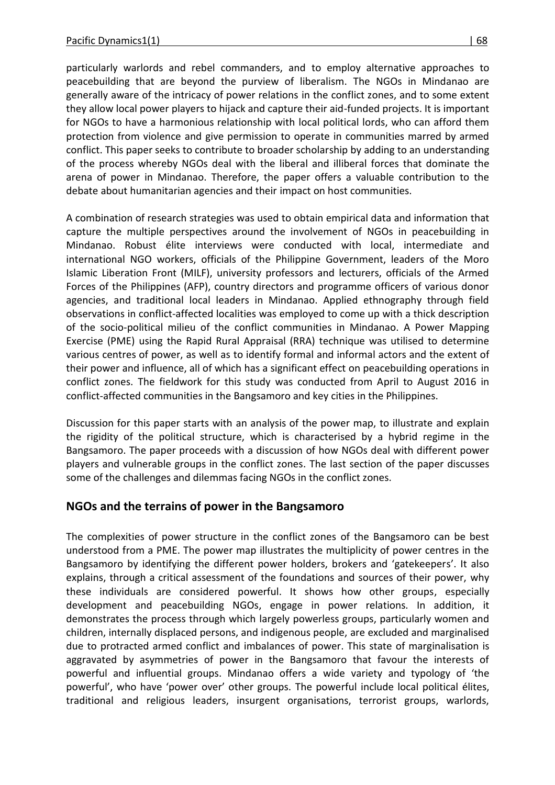particularly warlords and rebel commanders, and to employ alternative approaches to peacebuilding that are beyond the purview of liberalism. The NGOs in Mindanao are generally aware of the intricacy of power relations in the conflict zones, and to some extent they allow local power players to hijack and capture their aid-funded projects. It is important for NGOs to have a harmonious relationship with local political lords, who can afford them protection from violence and give permission to operate in communities marred by armed conflict. This paper seeks to contribute to broader scholarship by adding to an understanding of the process whereby NGOs deal with the liberal and illiberal forces that dominate the arena of power in Mindanao. Therefore, the paper offers a valuable contribution to the debate about humanitarian agencies and their impact on host communities.

A combination of research strategies was used to obtain empirical data and information that capture the multiple perspectives around the involvement of NGOs in peacebuilding in Mindanao. Robust élite interviews were conducted with local, intermediate and international NGO workers, officials of the Philippine Government, leaders of the Moro Islamic Liberation Front (MILF), university professors and lecturers, officials of the Armed Forces of the Philippines (AFP), country directors and programme officers of various donor agencies, and traditional local leaders in Mindanao. Applied ethnography through field observations in conflict-affected localities was employed to come up with a thick description of the socio-political milieu of the conflict communities in Mindanao. A Power Mapping Exercise (PME) using the Rapid Rural Appraisal (RRA) technique was utilised to determine various centres of power, as well as to identify formal and informal actors and the extent of their power and influence, all of which has a significant effect on peacebuilding operations in conflict zones. The fieldwork for this study was conducted from April to August 2016 in conflict-affected communities in the Bangsamoro and key cities in the Philippines.

Discussion for this paper starts with an analysis of the power map, to illustrate and explain the rigidity of the political structure, which is characterised by a hybrid regime in the Bangsamoro. The paper proceeds with a discussion of how NGOs deal with different power players and vulnerable groups in the conflict zones. The last section of the paper discusses some of the challenges and dilemmas facing NGOs in the conflict zones.

### **NGOs and the terrains of power in the Bangsamoro**

The complexities of power structure in the conflict zones of the Bangsamoro can be best understood from a PME. The power map illustrates the multiplicity of power centres in the Bangsamoro by identifying the different power holders, brokers and 'gatekeepers'. It also explains, through a critical assessment of the foundations and sources of their power, why these individuals are considered powerful. It shows how other groups, especially development and peacebuilding NGOs, engage in power relations. In addition, it demonstrates the process through which largely powerless groups, particularly women and children, internally displaced persons, and indigenous people, are excluded and marginalised due to protracted armed conflict and imbalances of power. This state of marginalisation is aggravated by asymmetries of power in the Bangsamoro that favour the interests of powerful and influential groups. Mindanao offers a wide variety and typology of 'the powerful', who have 'power over' other groups. The powerful include local political élites, traditional and religious leaders, insurgent organisations, terrorist groups, warlords,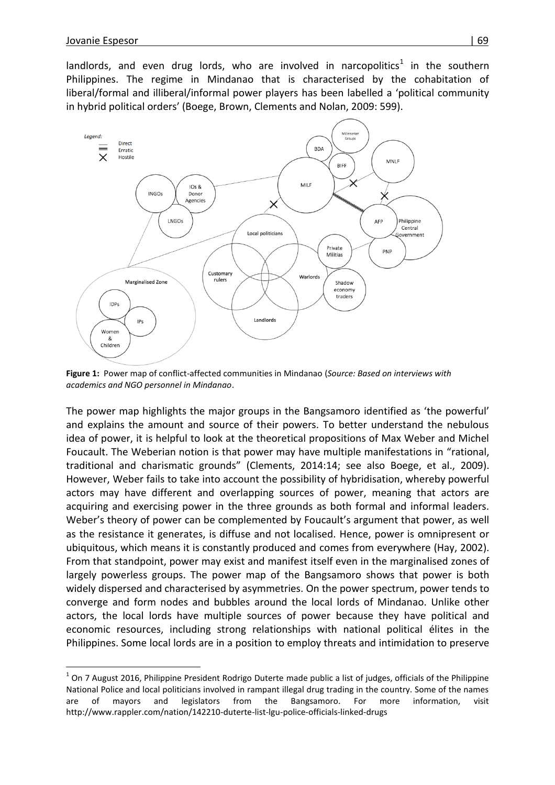$\overline{a}$ 

landlords, and even drug lords, who are involved in narcopolitics<sup>1</sup> in the southern Philippines. The regime in Mindanao that is characterised by the cohabitation of liberal/formal and illiberal/informal power players has been labelled a 'political community in hybrid political orders' (Boege, Brown, Clements and Nolan, 2009: 599).



**Figure 1:** Power map of conflict-affected communities in Mindanao (*Source: Based on interviews with academics and NGO personnel in Mindanao*.

The power map highlights the major groups in the Bangsamoro identified as 'the powerful' and explains the amount and source of their powers. To better understand the nebulous idea of power, it is helpful to look at the theoretical propositions of Max Weber and Michel Foucault. The Weberian notion is that power may have multiple manifestations in "rational, traditional and charismatic grounds" (Clements, 2014:14; see also Boege, et al., 2009). However, Weber fails to take into account the possibility of hybridisation, whereby powerful actors may have different and overlapping sources of power, meaning that actors are acquiring and exercising power in the three grounds as both formal and informal leaders. Weber's theory of power can be complemented by Foucault's argument that power, as well as the resistance it generates, is diffuse and not localised. Hence, power is omnipresent or ubiquitous, which means it is constantly produced and comes from everywhere (Hay, 2002). From that standpoint, power may exist and manifest itself even in the marginalised zones of largely powerless groups. The power map of the Bangsamoro shows that power is both widely dispersed and characterised by asymmetries. On the power spectrum, power tends to converge and form nodes and bubbles around the local lords of Mindanao. Unlike other actors, the local lords have multiple sources of power because they have political and economic resources, including strong relationships with national political élites in the Philippines. Some local lords are in a position to employ threats and intimidation to preserve

 $^1$  On 7 August 2016, Philippine President Rodrigo Duterte made public a list of judges, officials of the Philippine National Police and local politicians involved in rampant illegal drug trading in the country. Some of the names are of mayors and legislators from the Bangsamoro. For more information, visit http://www.rappler.com/nation/142210-duterte-list-lgu-police-officials-linked-drugs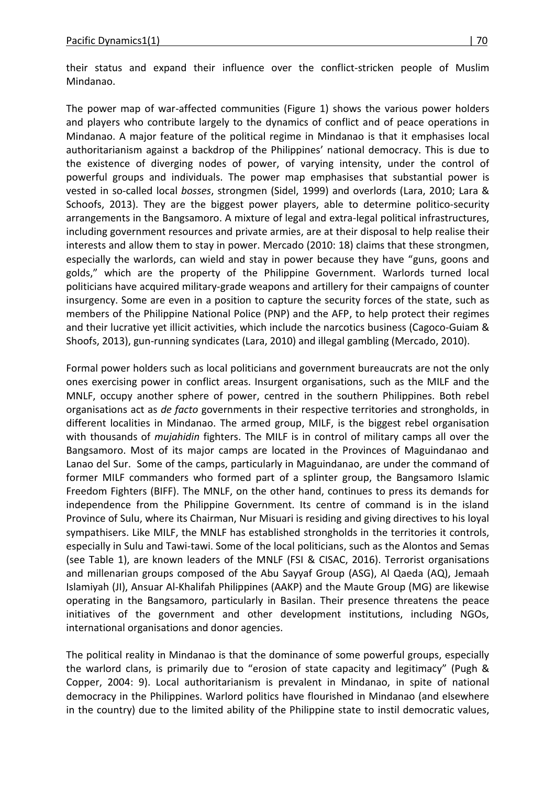their status and expand their influence over the conflict-stricken people of Muslim Mindanao.

The power map of war-affected communities (Figure 1) shows the various power holders and players who contribute largely to the dynamics of conflict and of peace operations in Mindanao. A major feature of the political regime in Mindanao is that it emphasises local authoritarianism against a backdrop of the Philippines' national democracy. This is due to the existence of diverging nodes of power, of varying intensity, under the control of powerful groups and individuals. The power map emphasises that substantial power is vested in so-called local *bosses*, strongmen (Sidel, 1999) and overlords (Lara, 2010; Lara & Schoofs, 2013). They are the biggest power players, able to determine politico-security arrangements in the Bangsamoro. A mixture of legal and extra-legal political infrastructures, including government resources and private armies, are at their disposal to help realise their interests and allow them to stay in power. Mercado (2010: 18) claims that these strongmen, especially the warlords, can wield and stay in power because they have "guns, goons and golds," which are the property of the Philippine Government. Warlords turned local politicians have acquired military-grade weapons and artillery for their campaigns of counter insurgency. Some are even in a position to capture the security forces of the state, such as members of the Philippine National Police (PNP) and the AFP, to help protect their regimes and their lucrative yet illicit activities, which include the narcotics business (Cagoco-Guiam & Shoofs, 2013), gun-running syndicates (Lara, 2010) and illegal gambling (Mercado, 2010).

Formal power holders such as local politicians and government bureaucrats are not the only ones exercising power in conflict areas. Insurgent organisations, such as the MILF and the MNLF, occupy another sphere of power, centred in the southern Philippines. Both rebel organisations act as *de facto* governments in their respective territories and strongholds, in different localities in Mindanao. The armed group, MILF, is the biggest rebel organisation with thousands of *mujahidin* fighters. The MILF is in control of military camps all over the Bangsamoro. Most of its major camps are located in the Provinces of Maguindanao and Lanao del Sur. Some of the camps, particularly in Maguindanao, are under the command of former MILF commanders who formed part of a splinter group, the Bangsamoro Islamic Freedom Fighters (BIFF). The MNLF, on the other hand, continues to press its demands for independence from the Philippine Government. Its centre of command is in the island Province of Sulu, where its Chairman, Nur Misuari is residing and giving directives to his loyal sympathisers. Like MILF, the MNLF has established strongholds in the territories it controls, especially in Sulu and Tawi-tawi. Some of the local politicians, such as the Alontos and Semas (see Table 1), are known leaders of the MNLF (FSI & CISAC, 2016). Terrorist organisations and millenarian groups composed of the Abu Sayyaf Group (ASG), Al Qaeda (AQ), Jemaah Islamiyah (JI), Ansuar Al-Khalifah Philippines (AAKP) and the Maute Group (MG) are likewise operating in the Bangsamoro, particularly in Basilan. Their presence threatens the peace initiatives of the government and other development institutions, including NGOs, international organisations and donor agencies.

The political reality in Mindanao is that the dominance of some powerful groups, especially the warlord clans, is primarily due to "erosion of state capacity and legitimacy" (Pugh & Copper, 2004: 9). Local authoritarianism is prevalent in Mindanao, in spite of national democracy in the Philippines. Warlord politics have flourished in Mindanao (and elsewhere in the country) due to the limited ability of the Philippine state to instil democratic values,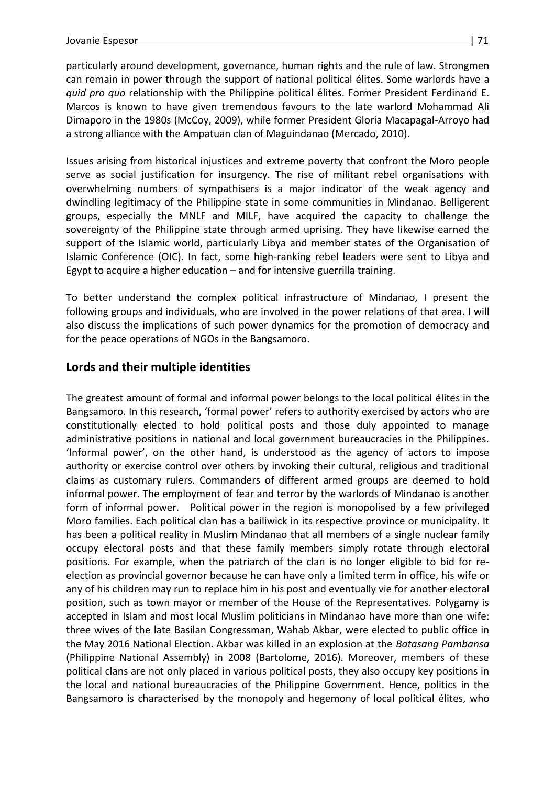particularly around development, governance, human rights and the rule of law. Strongmen can remain in power through the support of national political élites. Some warlords have a *quid pro quo* relationship with the Philippine political élites. Former President Ferdinand E. Marcos is known to have given tremendous favours to the late warlord Mohammad Ali Dimaporo in the 1980s (McCoy, 2009), while former President Gloria Macapagal-Arroyo had a strong alliance with the Ampatuan clan of Maguindanao (Mercado, 2010).

Issues arising from historical injustices and extreme poverty that confront the Moro people serve as social justification for insurgency. The rise of militant rebel organisations with overwhelming numbers of sympathisers is a major indicator of the weak agency and dwindling legitimacy of the Philippine state in some communities in Mindanao. Belligerent groups, especially the MNLF and MILF, have acquired the capacity to challenge the sovereignty of the Philippine state through armed uprising. They have likewise earned the support of the Islamic world, particularly Libya and member states of the Organisation of Islamic Conference (OIC). In fact, some high-ranking rebel leaders were sent to Libya and Egypt to acquire a higher education – and for intensive guerrilla training.

To better understand the complex political infrastructure of Mindanao, I present the following groups and individuals, who are involved in the power relations of that area. I will also discuss the implications of such power dynamics for the promotion of democracy and for the peace operations of NGOs in the Bangsamoro.

### **Lords and their multiple identities**

The greatest amount of formal and informal power belongs to the local political élites in the Bangsamoro. In this research, 'formal power' refers to authority exercised by actors who are constitutionally elected to hold political posts and those duly appointed to manage administrative positions in national and local government bureaucracies in the Philippines. 'Informal power', on the other hand, is understood as the agency of actors to impose authority or exercise control over others by invoking their cultural, religious and traditional claims as customary rulers. Commanders of different armed groups are deemed to hold informal power. The employment of fear and terror by the warlords of Mindanao is another form of informal power. Political power in the region is monopolised by a few privileged Moro families. Each political clan has a bailiwick in its respective province or municipality. It has been a political reality in Muslim Mindanao that all members of a single nuclear family occupy electoral posts and that these family members simply rotate through electoral positions. For example, when the patriarch of the clan is no longer eligible to bid for reelection as provincial governor because he can have only a limited term in office, his wife or any of his children may run to replace him in his post and eventually vie for another electoral position, such as town mayor or member of the House of the Representatives. Polygamy is accepted in Islam and most local Muslim politicians in Mindanao have more than one wife: three wives of the late Basilan Congressman, Wahab Akbar, were elected to public office in the May 2016 National Election. Akbar was killed in an explosion at the *Batasang Pambansa* (Philippine National Assembly) in 2008 (Bartolome, 2016). Moreover, members of these political clans are not only placed in various political posts, they also occupy key positions in the local and national bureaucracies of the Philippine Government. Hence, politics in the Bangsamoro is characterised by the monopoly and hegemony of local political élites, who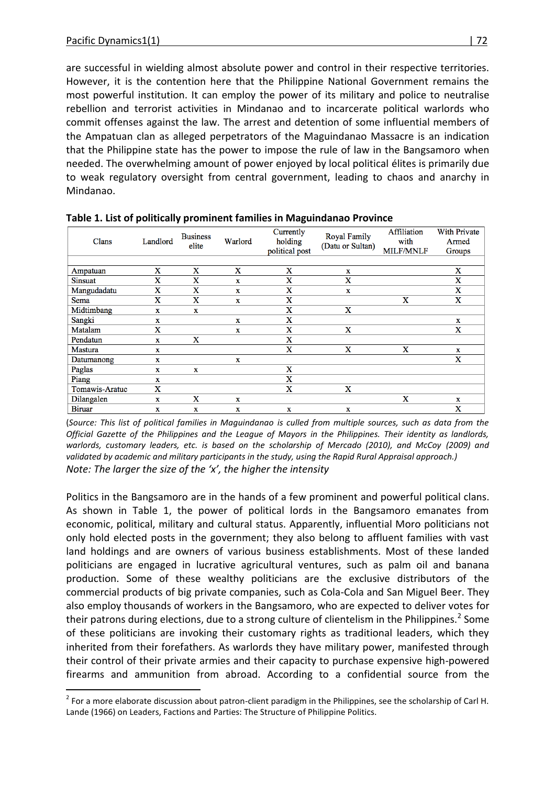are successful in wielding almost absolute power and control in their respective territories. However, it is the contention here that the Philippine National Government remains the most powerful institution. It can employ the power of its military and police to neutralise rebellion and terrorist activities in Mindanao and to incarcerate political warlords who commit offenses against the law. The arrest and detention of some influential members of the Ampatuan clan as alleged perpetrators of the Maguindanao Massacre is an indication that the Philippine state has the power to impose the rule of law in the Bangsamoro when needed. The overwhelming amount of power enjoyed by local political élites is primarily due to weak regulatory oversight from central government, leading to chaos and anarchy in Mindanao.

| Clans          | Landlord                | <b>Business</b><br>elite | Warlord | Currently<br>holding<br>political post | <b>Royal Family</b><br>(Datu or Sultan) | Affiliation<br>with<br><b>MILF/MNLF</b> | <b>With Private</b><br>Armed<br>Groups |
|----------------|-------------------------|--------------------------|---------|----------------------------------------|-----------------------------------------|-----------------------------------------|----------------------------------------|
|                |                         |                          |         |                                        |                                         |                                         |                                        |
| Ampatuan       | X                       | X                        | X       | X                                      | X                                       |                                         | X                                      |
| Sinsuat        | X                       | X                        | X       | X                                      | X                                       |                                         | X                                      |
| Mangudadatu    | $\mathbf x$             | X                        | X       | X                                      | $\mathbf x$                             |                                         | $\mathbf x$                            |
| Sema           | $\overline{\mathbf{X}}$ | X                        | X       | $\mathbf X$                            |                                         | X                                       | $\mathbf X$                            |
| Midtimbang     | $\mathbf x$             | $\mathbf{x}$             |         | X                                      | X                                       |                                         |                                        |
| Sangki         | $\mathbf x$             |                          | X       | X                                      |                                         |                                         | $\mathbf{x}$                           |
| Matalam        | X                       |                          | X       | X                                      | X                                       |                                         | X                                      |
| Pendatun       | $\mathbf x$             | X                        |         | $\mathbf x$                            |                                         |                                         |                                        |
| Mastura        | X                       |                          |         | $\mathbf X$                            | X                                       | X                                       | $\mathbf{x}$                           |
| Datumanong     | $\mathbf x$             |                          | X       |                                        |                                         |                                         | $\mathbf x$                            |
| Paglas         | $\mathbf x$             | $\mathbf{x}$             |         | X                                      |                                         |                                         |                                        |
| Piang          | x                       |                          |         | X                                      |                                         |                                         |                                        |
| Tomawis-Aratuc | X                       |                          |         | X                                      | X                                       |                                         |                                        |
| Dilangalen     | $\bf{x}$                | $\mathbf X$              | X       |                                        |                                         | $\mathbf x$                             | $\bf{x}$                               |
| <b>Biruar</b>  | X                       | x                        | X       | X                                      | X                                       |                                         | X                                      |

**Table 1. List of politically prominent families in Maguindanao Province**

(*Source: This list of political families in Maguindanao is culled from multiple sources, such as data from the Official Gazette of the Philippines and the League of Mayors in the Philippines. Their identity as landlords, warlords, customary leaders, etc. is based on the scholarship of Mercado (2010), and McCoy (2009) and validated by academic and military participants in the study, using the Rapid Rural Appraisal approach.) Note: The larger the size of the 'x', the higher the intensity*

Politics in the Bangsamoro are in the hands of a few prominent and powerful political clans. As shown in Table 1, the power of political lords in the Bangsamoro emanates from economic, political, military and cultural status. Apparently, influential Moro politicians not only hold elected posts in the government; they also belong to affluent families with vast land holdings and are owners of various business establishments. Most of these landed politicians are engaged in lucrative agricultural ventures, such as palm oil and banana production. Some of these wealthy politicians are the exclusive distributors of the commercial products of big private companies, such as Cola-Cola and San Miguel Beer. They also employ thousands of workers in the Bangsamoro, who are expected to deliver votes for their patrons during elections, due to a strong culture of clientelism in the Philippines.<sup>2</sup> Some of these politicians are invoking their customary rights as traditional leaders, which they inherited from their forefathers. As warlords they have military power, manifested through their control of their private armies and their capacity to purchase expensive high-powered firearms and ammunition from abroad. According to a confidential source from the

 $\overline{a}$  $^2$  For a more elaborate discussion about patron-client paradigm in the Philippines, see the scholarship of Carl H. Lande (1966) on Leaders, Factions and Parties: The Structure of Philippine Politics.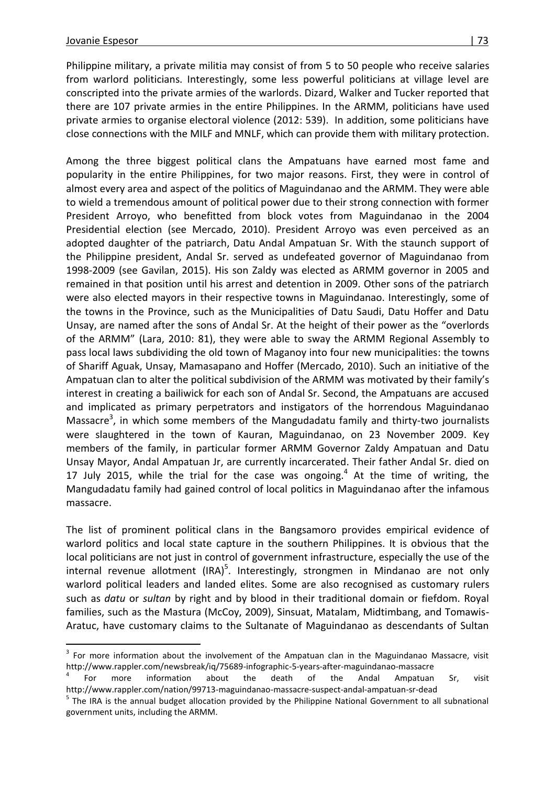Philippine military, a private militia may consist of from 5 to 50 people who receive salaries from warlord politicians. Interestingly, some less powerful politicians at village level are conscripted into the private armies of the warlords. Dizard, Walker and Tucker reported that there are 107 private armies in the entire Philippines. In the ARMM, politicians have used private armies to organise electoral violence (2012: 539). In addition, some politicians have close connections with the MILF and MNLF, which can provide them with military protection.

Among the three biggest political clans the Ampatuans have earned most fame and popularity in the entire Philippines, for two major reasons. First, they were in control of almost every area and aspect of the politics of Maguindanao and the ARMM. They were able to wield a tremendous amount of political power due to their strong connection with former President Arroyo, who benefitted from block votes from Maguindanao in the 2004 Presidential election (see Mercado, 2010). President Arroyo was even perceived as an adopted daughter of the patriarch, Datu Andal Ampatuan Sr. With the staunch support of the Philippine president, Andal Sr. served as undefeated governor of Maguindanao from 1998-2009 (see Gavilan, 2015). His son Zaldy was elected as ARMM governor in 2005 and remained in that position until his arrest and detention in 2009. Other sons of the patriarch were also elected mayors in their respective towns in Maguindanao. Interestingly, some of the towns in the Province, such as the Municipalities of Datu Saudi, Datu Hoffer and Datu Unsay, are named after the sons of Andal Sr. At the height of their power as the "overlords of the ARMM" (Lara, 2010: 81), they were able to sway the ARMM Regional Assembly to pass local laws subdividing the old town of Maganoy into four new municipalities: the towns of Shariff Aguak, Unsay, Mamasapano and Hoffer (Mercado, 2010). Such an initiative of the Ampatuan clan to alter the political subdivision of the ARMM was motivated by their family's interest in creating a bailiwick for each son of Andal Sr. Second, the Ampatuans are accused and implicated as primary perpetrators and instigators of the horrendous Maguindanao Massacre<sup>3</sup>, in which some members of the Mangudadatu family and thirty-two journalists were slaughtered in the town of Kauran, Maguindanao, on 23 November 2009. Key members of the family, in particular former ARMM Governor Zaldy Ampatuan and Datu Unsay Mayor, Andal Ampatuan Jr, are currently incarcerated. Their father Andal Sr. died on 17 July 2015, while the trial for the case was ongoing. $4$  At the time of writing, the Mangudadatu family had gained control of local politics in Maguindanao after the infamous massacre.

The list of prominent political clans in the Bangsamoro provides empirical evidence of warlord politics and local state capture in the southern Philippines. It is obvious that the local politicians are not just in control of government infrastructure, especially the use of the internal revenue allotment (IRA)<sup>5</sup>. Interestingly, strongmen in Mindanao are not only warlord political leaders and landed elites. Some are also recognised as customary rulers such as *datu* or *sultan* by right and by blood in their traditional domain or fiefdom. Royal families, such as the Mastura (McCoy, 2009), Sinsuat, Matalam, Midtimbang, and Tomawis-Aratuc, have customary claims to the Sultanate of Maguindanao as descendants of Sultan

 $3$  For more information about the involvement of the Ampatuan clan in the Maguindanao Massacre, visit http://www.rappler.com/newsbreak/iq/75689-infographic-5-years-after-maguindanao-massacre

<sup>4</sup> For more information about the death of the Andal Ampatuan Sr, visit http://www.rappler.com/nation/99713-maguindanao-massacre-suspect-andal-ampatuan-sr-dead

<sup>&</sup>lt;sup>5</sup> The IRA is the annual budget allocation provided by the Philippine National Government to all subnational government units, including the ARMM.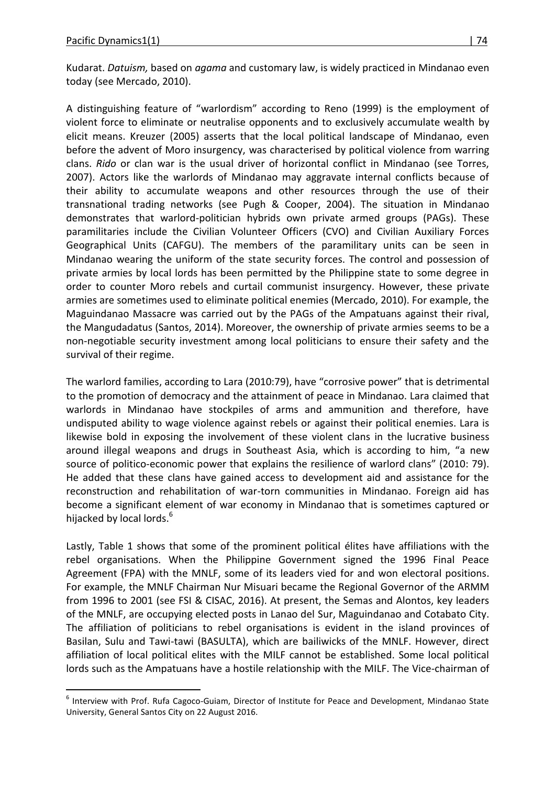Kudarat. *Datuism,* based on *agama* and customary law, is widely practiced in Mindanao even today (see Mercado, 2010).

A distinguishing feature of "warlordism" according to Reno (1999) is the employment of violent force to eliminate or neutralise opponents and to exclusively accumulate wealth by elicit means. Kreuzer (2005) asserts that the local political landscape of Mindanao, even before the advent of Moro insurgency, was characterised by political violence from warring clans. *Rido* or clan war is the usual driver of horizontal conflict in Mindanao (see Torres, 2007). Actors like the warlords of Mindanao may aggravate internal conflicts because of their ability to accumulate weapons and other resources through the use of their transnational trading networks (see Pugh & Cooper, 2004). The situation in Mindanao demonstrates that warlord-politician hybrids own private armed groups (PAGs). These paramilitaries include the Civilian Volunteer Officers (CVO) and Civilian Auxiliary Forces Geographical Units (CAFGU). The members of the paramilitary units can be seen in Mindanao wearing the uniform of the state security forces. The control and possession of private armies by local lords has been permitted by the Philippine state to some degree in order to counter Moro rebels and curtail communist insurgency. However, these private armies are sometimes used to eliminate political enemies (Mercado, 2010). For example, the Maguindanao Massacre was carried out by the PAGs of the Ampatuans against their rival, the Mangudadatus (Santos, 2014). Moreover, the ownership of private armies seems to be a non-negotiable security investment among local politicians to ensure their safety and the survival of their regime.

The warlord families, according to Lara (2010:79), have "corrosive power" that is detrimental to the promotion of democracy and the attainment of peace in Mindanao. Lara claimed that warlords in Mindanao have stockpiles of arms and ammunition and therefore, have undisputed ability to wage violence against rebels or against their political enemies. Lara is likewise bold in exposing the involvement of these violent clans in the lucrative business around illegal weapons and drugs in Southeast Asia, which is according to him, "a new source of politico-economic power that explains the resilience of warlord clans" (2010: 79). He added that these clans have gained access to development aid and assistance for the reconstruction and rehabilitation of war-torn communities in Mindanao. Foreign aid has become a significant element of war economy in Mindanao that is sometimes captured or hijacked by local lords.<sup>6</sup>

Lastly, Table 1 shows that some of the prominent political élites have affiliations with the rebel organisations. When the Philippine Government signed the 1996 Final Peace Agreement (FPA) with the MNLF, some of its leaders vied for and won electoral positions. For example, the MNLF Chairman Nur Misuari became the Regional Governor of the ARMM from 1996 to 2001 (see FSI & CISAC, 2016). At present, the Semas and Alontos, key leaders of the MNLF, are occupying elected posts in Lanao del Sur, Maguindanao and Cotabato City. The affiliation of politicians to rebel organisations is evident in the island provinces of Basilan, Sulu and Tawi-tawi (BASULTA), which are bailiwicks of the MNLF. However, direct affiliation of local political elites with the MILF cannot be established. Some local political lords such as the Ampatuans have a hostile relationship with the MILF. The Vice-chairman of

 $\overline{a}$ <sup>6</sup> Interview with Prof. Rufa Cagoco-Guiam, Director of Institute for Peace and Development, Mindanao State University, General Santos City on 22 August 2016.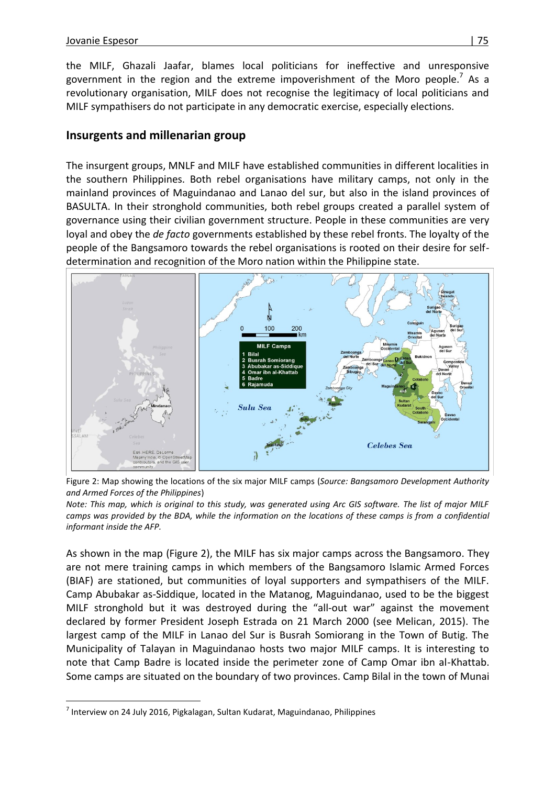the MILF, Ghazali Jaafar, blames local politicians for ineffective and unresponsive government in the region and the extreme impoverishment of the Moro people.<sup>7</sup> As a revolutionary organisation, MILF does not recognise the legitimacy of local politicians and MILF sympathisers do not participate in any democratic exercise, especially elections.

### **Insurgents and millenarian group**

The insurgent groups, MNLF and MILF have established communities in different localities in the southern Philippines. Both rebel organisations have military camps, not only in the mainland provinces of Maguindanao and Lanao del sur, but also in the island provinces of BASULTA. In their stronghold communities, both rebel groups created a parallel system of governance using their civilian government structure. People in these communities are very loyal and obey the *de facto* governments established by these rebel fronts. The loyalty of the people of the Bangsamoro towards the rebel organisations is rooted on their desire for selfdetermination and recognition of the Moro nation within the Philippine state.





*Note: This map, which is original to this study, was generated using Arc GIS software. The list of major MILF*  camps was provided by the BDA, while the information on the locations of these camps is from a confidential *informant inside the AFP.* 

As shown in the map (Figure 2), the MILF has six major camps across the Bangsamoro. They are not mere training camps in which members of the Bangsamoro Islamic Armed Forces (BIAF) are stationed, but communities of loyal supporters and sympathisers of the MILF. Camp Abubakar as-Siddique, located in the Matanog, Maguindanao, used to be the biggest MILF stronghold but it was destroyed during the "all-out war" against the movement declared by former President Joseph Estrada on 21 March 2000 (see Melican, 2015). The largest camp of the MILF in Lanao del Sur is Busrah Somiorang in the Town of Butig. The Municipality of Talayan in Maguindanao hosts two major MILF camps. It is interesting to note that Camp Badre is located inside the perimeter zone of Camp Omar ibn al-Khattab. Some camps are situated on the boundary of two provinces. Camp Bilal in the town of Munai

 $\overline{a}$  $^7$  Interview on 24 July 2016, Pigkalagan, Sultan Kudarat, Maguindanao, Philippines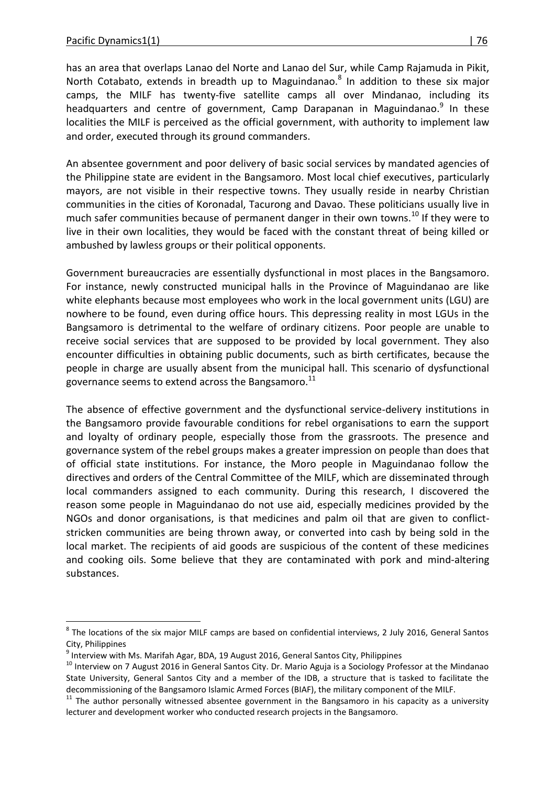has an area that overlaps Lanao del Norte and Lanao del Sur, while Camp Rajamuda in Pikit, North Cotabato, extends in breadth up to Maguindanao.<sup>8</sup> In addition to these six major camps, the MILF has twenty-five satellite camps all over Mindanao, including its headquarters and centre of government, Camp Darapanan in Maguindanao.<sup>9</sup> In these localities the MILF is perceived as the official government, with authority to implement law and order, executed through its ground commanders.

An absentee government and poor delivery of basic social services by mandated agencies of the Philippine state are evident in the Bangsamoro. Most local chief executives, particularly mayors, are not visible in their respective towns. They usually reside in nearby Christian communities in the cities of Koronadal, Tacurong and Davao. These politicians usually live in much safer communities because of permanent danger in their own towns.<sup>10</sup> If they were to live in their own localities, they would be faced with the constant threat of being killed or ambushed by lawless groups or their political opponents.

Government bureaucracies are essentially dysfunctional in most places in the Bangsamoro. For instance, newly constructed municipal halls in the Province of Maguindanao are like white elephants because most employees who work in the local government units (LGU) are nowhere to be found, even during office hours. This depressing reality in most LGUs in the Bangsamoro is detrimental to the welfare of ordinary citizens. Poor people are unable to receive social services that are supposed to be provided by local government. They also encounter difficulties in obtaining public documents, such as birth certificates, because the people in charge are usually absent from the municipal hall. This scenario of dysfunctional governance seems to extend across the Bangsamoro. $^{11}$ 

The absence of effective government and the dysfunctional service-delivery institutions in the Bangsamoro provide favourable conditions for rebel organisations to earn the support and loyalty of ordinary people, especially those from the grassroots. The presence and governance system of the rebel groups makes a greater impression on people than does that of official state institutions. For instance, the Moro people in Maguindanao follow the directives and orders of the Central Committee of the MILF, which are disseminated through local commanders assigned to each community. During this research, I discovered the reason some people in Maguindanao do not use aid, especially medicines provided by the NGOs and donor organisations, is that medicines and palm oil that are given to conflictstricken communities are being thrown away, or converted into cash by being sold in the local market. The recipients of aid goods are suspicious of the content of these medicines and cooking oils. Some believe that they are contaminated with pork and mind-altering substances.

 8 The locations of the six major MILF camps are based on confidential interviews, 2 July 2016, General Santos City, Philippines

 $^9$  Interview with Ms. Marifah Agar, BDA, 19 August 2016, General Santos City, Philippines

<sup>&</sup>lt;sup>10</sup> Interview on 7 August 2016 in General Santos City. Dr. Mario Aguja is a Sociology Professor at the Mindanao State University, General Santos City and a member of the IDB, a structure that is tasked to facilitate the decommissioning of the Bangsamoro Islamic Armed Forces (BIAF), the military component of the MILF.

 $11$  The author personally witnessed absentee government in the Bangsamoro in his capacity as a university lecturer and development worker who conducted research projects in the Bangsamoro.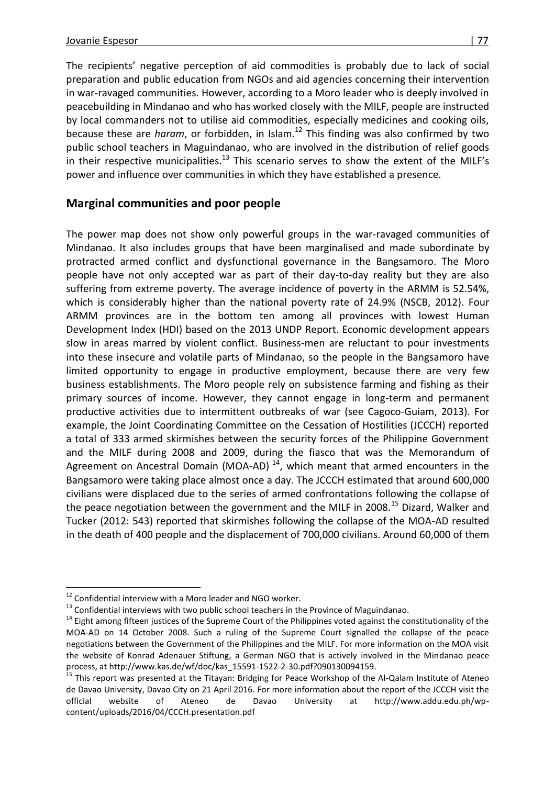The recipients' negative perception of aid commodities is probably due to lack of social preparation and public education from NGOs and aid agencies concerning their intervention in war-ravaged communities. However, according to a Moro leader who is deeply involved in peacebuilding in Mindanao and who has worked closely with the MILF, people are instructed by local commanders not to utilise aid commodities, especially medicines and cooking oils, because these are *haram*, or forbidden, in Islam.<sup>12</sup> This finding was also confirmed by two public school teachers in Maguindanao, who are involved in the distribution of relief goods in their respective municipalities.<sup>13</sup> This scenario serves to show the extent of the MILF's power and influence over communities in which they have established a presence.

### **Marginal communities and poor people**

The power map does not show only powerful groups in the war-ravaged communities of Mindanao. It also includes groups that have been marginalised and made subordinate by protracted armed conflict and dysfunctional governance in the Bangsamoro. The Moro people have not only accepted war as part of their day-to-day reality but they are also suffering from extreme poverty. The average incidence of poverty in the ARMM is 52.54%, which is considerably higher than the national poverty rate of 24.9% (NSCB, 2012). Four ARMM provinces are in the bottom ten among all provinces with lowest Human Development Index (HDI) based on the 2013 UNDP Report. Economic development appears slow in areas marred by violent conflict. Business-men are reluctant to pour investments into these insecure and volatile parts of Mindanao, so the people in the Bangsamoro have limited opportunity to engage in productive employment, because there are very few business establishments. The Moro people rely on subsistence farming and fishing as their primary sources of income. However, they cannot engage in long-term and permanent productive activities due to intermittent outbreaks of war (see Cagoco-Guiam, 2013). For example, the Joint Coordinating Committee on the Cessation of Hostilities (JCCCH) reported a total of 333 armed skirmishes between the security forces of the Philippine Government and the MILF during 2008 and 2009, during the fiasco that was the Memorandum of Agreement on Ancestral Domain (MOA-AD)<sup>14</sup>, which meant that armed encounters in the Bangsamoro were taking place almost once a day. The JCCCH estimated that around 600,000 civilians were displaced due to the series of armed confrontations following the collapse of the peace negotiation between the government and the MILF in 2008.<sup>15</sup> Dizard, Walker and Tucker (2012: 543) reported that skirmishes following the collapse of the MOA-AD resulted in the death of 400 people and the displacement of 700,000 civilians. Around 60,000 of them

l  $12$  Confidential interview with a Moro leader and NGO worker.

 $13$  Confidential interviews with two public school teachers in the Province of Maguindanao.

<sup>&</sup>lt;sup>14</sup> Eight among fifteen justices of the Supreme Court of the Philippines voted against the constitutionality of the MOA-AD on 14 October 2008. Such a ruling of the Supreme Court signalled the collapse of the peace negotiations between the Government of the Philippines and the MILF. For more information on the MOA visit the website of Konrad Adenauer Stiftung, a German NGO that is actively involved in the Mindanao peace process, at http://www.kas.de/wf/doc/kas\_15591-1522-2-30.pdf?090130094159.

<sup>15</sup> This report was presented at the Titayan: Bridging for Peace Workshop of the Al-Qalam Institute of Ateneo de Davao University, Davao City on 21 April 2016. For more information about the report of the JCCCH visit the official website of Ateneo de Davao University at http://www.addu.edu.ph/wpcontent/uploads/2016/04/CCCH.presentation.pdf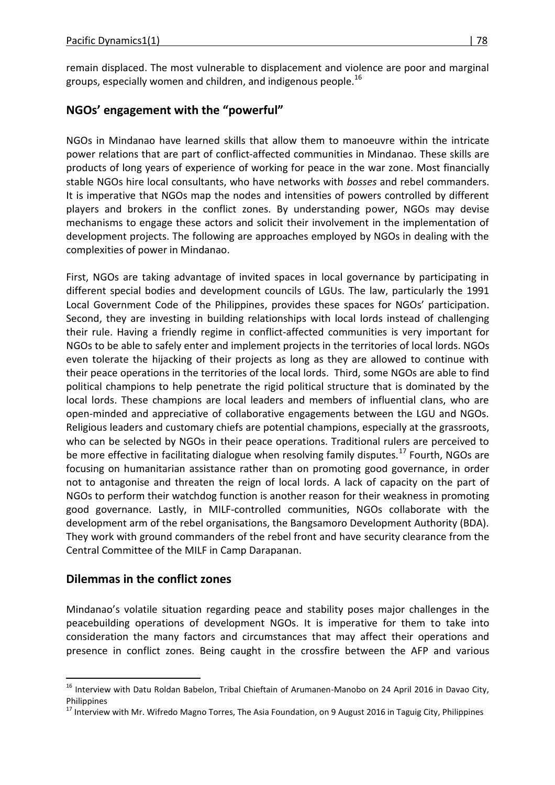remain displaced. The most vulnerable to displacement and violence are poor and marginal groups, especially women and children, and indigenous people. $^{16}$ 

## **NGOs' engagement with the "powerful"**

NGOs in Mindanao have learned skills that allow them to manoeuvre within the intricate power relations that are part of conflict-affected communities in Mindanao. These skills are products of long years of experience of working for peace in the war zone. Most financially stable NGOs hire local consultants, who have networks with *bosses* and rebel commanders. It is imperative that NGOs map the nodes and intensities of powers controlled by different players and brokers in the conflict zones. By understanding power, NGOs may devise mechanisms to engage these actors and solicit their involvement in the implementation of development projects. The following are approaches employed by NGOs in dealing with the complexities of power in Mindanao.

First, NGOs are taking advantage of invited spaces in local governance by participating in different special bodies and development councils of LGUs. The law, particularly the 1991 Local Government Code of the Philippines, provides these spaces for NGOs' participation. Second, they are investing in building relationships with local lords instead of challenging their rule. Having a friendly regime in conflict-affected communities is very important for NGOs to be able to safely enter and implement projects in the territories of local lords. NGOs even tolerate the hijacking of their projects as long as they are allowed to continue with their peace operations in the territories of the local lords. Third, some NGOs are able to find political champions to help penetrate the rigid political structure that is dominated by the local lords. These champions are local leaders and members of influential clans, who are open-minded and appreciative of collaborative engagements between the LGU and NGOs. Religious leaders and customary chiefs are potential champions, especially at the grassroots, who can be selected by NGOs in their peace operations. Traditional rulers are perceived to be more effective in facilitating dialogue when resolving family disputes.<sup>17</sup> Fourth, NGOs are focusing on humanitarian assistance rather than on promoting good governance, in order not to antagonise and threaten the reign of local lords. A lack of capacity on the part of NGOs to perform their watchdog function is another reason for their weakness in promoting good governance. Lastly, in MILF-controlled communities, NGOs collaborate with the development arm of the rebel organisations, the Bangsamoro Development Authority (BDA). They work with ground commanders of the rebel front and have security clearance from the Central Committee of the MILF in Camp Darapanan.

### **Dilemmas in the conflict zones**

 $\overline{a}$ 

Mindanao's volatile situation regarding peace and stability poses major challenges in the peacebuilding operations of development NGOs. It is imperative for them to take into consideration the many factors and circumstances that may affect their operations and presence in conflict zones. Being caught in the crossfire between the AFP and various

<sup>&</sup>lt;sup>16</sup> Interview with Datu Roldan Babelon, Tribal Chieftain of Arumanen-Manobo on 24 April 2016 in Davao City, **Philippines** 

<sup>&</sup>lt;sup>17</sup> Interview with Mr. Wifredo Magno Torres, The Asia Foundation, on 9 August 2016 in Taguig City, Philippines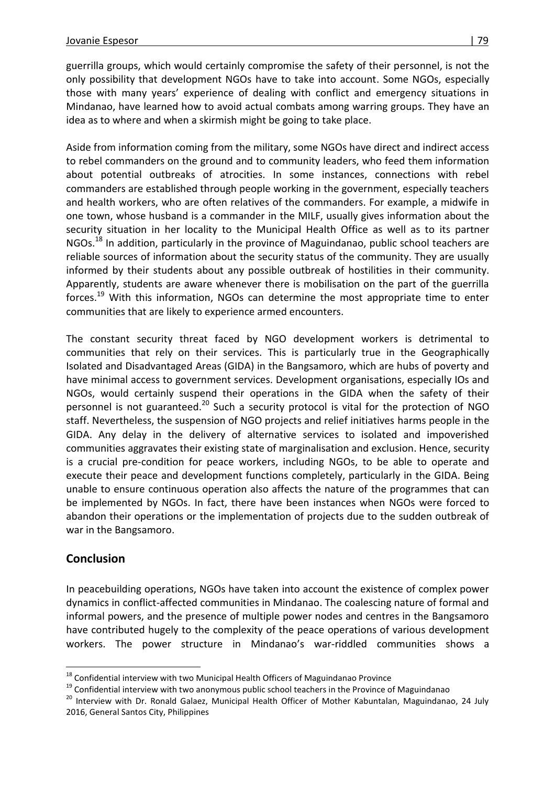guerrilla groups, which would certainly compromise the safety of their personnel, is not the only possibility that development NGOs have to take into account. Some NGOs, especially those with many years' experience of dealing with conflict and emergency situations in Mindanao, have learned how to avoid actual combats among warring groups. They have an idea as to where and when a skirmish might be going to take place.

Aside from information coming from the military, some NGOs have direct and indirect access to rebel commanders on the ground and to community leaders, who feed them information about potential outbreaks of atrocities. In some instances, connections with rebel commanders are established through people working in the government, especially teachers and health workers, who are often relatives of the commanders. For example, a midwife in one town, whose husband is a commander in the MILF, usually gives information about the security situation in her locality to the Municipal Health Office as well as to its partner NGOs.<sup>18</sup> In addition, particularly in the province of Maguindanao, public school teachers are reliable sources of information about the security status of the community. They are usually informed by their students about any possible outbreak of hostilities in their community. Apparently, students are aware whenever there is mobilisation on the part of the guerrilla forces.<sup>19</sup> With this information, NGOs can determine the most appropriate time to enter communities that are likely to experience armed encounters.

The constant security threat faced by NGO development workers is detrimental to communities that rely on their services. This is particularly true in the Geographically Isolated and Disadvantaged Areas (GIDA) in the Bangsamoro, which are hubs of poverty and have minimal access to government services. Development organisations, especially IOs and NGOs, would certainly suspend their operations in the GIDA when the safety of their personnel is not guaranteed.<sup>20</sup> Such a security protocol is vital for the protection of NGO staff. Nevertheless, the suspension of NGO projects and relief initiatives harms people in the GIDA. Any delay in the delivery of alternative services to isolated and impoverished communities aggravates their existing state of marginalisation and exclusion. Hence, security is a crucial pre-condition for peace workers, including NGOs, to be able to operate and execute their peace and development functions completely, particularly in the GIDA. Being unable to ensure continuous operation also affects the nature of the programmes that can be implemented by NGOs. In fact, there have been instances when NGOs were forced to abandon their operations or the implementation of projects due to the sudden outbreak of war in the Bangsamoro.

### **Conclusion**

 $\overline{a}$ 

In peacebuilding operations, NGOs have taken into account the existence of complex power dynamics in conflict-affected communities in Mindanao. The coalescing nature of formal and informal powers, and the presence of multiple power nodes and centres in the Bangsamoro have contributed hugely to the complexity of the peace operations of various development workers. The power structure in Mindanao's war-riddled communities shows a

<sup>&</sup>lt;sup>18</sup> Confidential interview with two Municipal Health Officers of Maguindanao Province

<sup>&</sup>lt;sup>19</sup> Confidential interview with two anonymous public school teachers in the Province of Maguindanao

<sup>&</sup>lt;sup>20</sup> Interview with Dr. Ronald Galaez, Municipal Health Officer of Mother Kabuntalan, Maguindanao, 24 July 2016, General Santos City, Philippines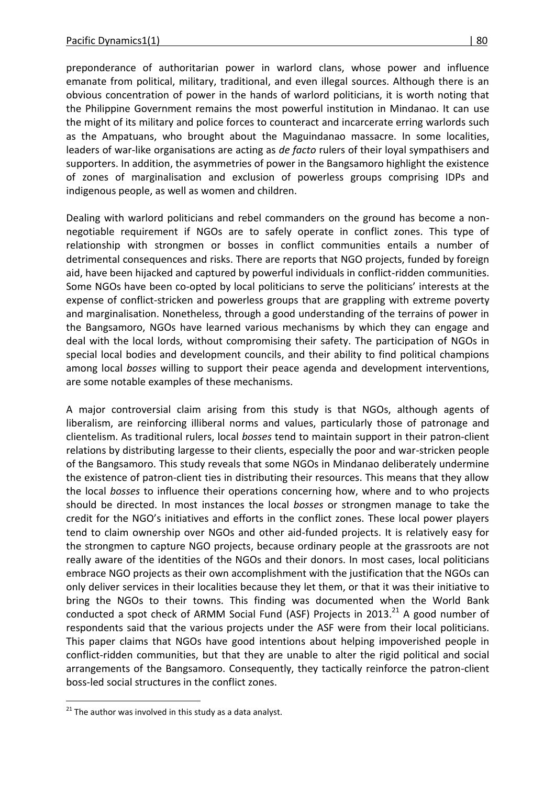preponderance of authoritarian power in warlord clans, whose power and influence emanate from political, military, traditional, and even illegal sources. Although there is an obvious concentration of power in the hands of warlord politicians, it is worth noting that the Philippine Government remains the most powerful institution in Mindanao. It can use the might of its military and police forces to counteract and incarcerate erring warlords such as the Ampatuans, who brought about the Maguindanao massacre. In some localities, leaders of war-like organisations are acting as *de facto* rulers of their loyal sympathisers and supporters. In addition, the asymmetries of power in the Bangsamoro highlight the existence of zones of marginalisation and exclusion of powerless groups comprising IDPs and indigenous people, as well as women and children.

Dealing with warlord politicians and rebel commanders on the ground has become a nonnegotiable requirement if NGOs are to safely operate in conflict zones. This type of relationship with strongmen or bosses in conflict communities entails a number of detrimental consequences and risks. There are reports that NGO projects, funded by foreign aid, have been hijacked and captured by powerful individuals in conflict-ridden communities. Some NGOs have been co-opted by local politicians to serve the politicians' interests at the expense of conflict-stricken and powerless groups that are grappling with extreme poverty and marginalisation. Nonetheless, through a good understanding of the terrains of power in the Bangsamoro, NGOs have learned various mechanisms by which they can engage and deal with the local lords, without compromising their safety. The participation of NGOs in special local bodies and development councils, and their ability to find political champions among local *bosses* willing to support their peace agenda and development interventions, are some notable examples of these mechanisms.

A major controversial claim arising from this study is that NGOs, although agents of liberalism, are reinforcing illiberal norms and values, particularly those of patronage and clientelism. As traditional rulers, local *bosses* tend to maintain support in their patron-client relations by distributing largesse to their clients, especially the poor and war-stricken people of the Bangsamoro. This study reveals that some NGOs in Mindanao deliberately undermine the existence of patron-client ties in distributing their resources. This means that they allow the local *bosses* to influence their operations concerning how, where and to who projects should be directed. In most instances the local *bosses* or strongmen manage to take the credit for the NGO's initiatives and efforts in the conflict zones. These local power players tend to claim ownership over NGOs and other aid-funded projects. It is relatively easy for the strongmen to capture NGO projects, because ordinary people at the grassroots are not really aware of the identities of the NGOs and their donors. In most cases, local politicians embrace NGO projects as their own accomplishment with the justification that the NGOs can only deliver services in their localities because they let them, or that it was their initiative to bring the NGOs to their towns. This finding was documented when the World Bank conducted a spot check of ARMM Social Fund (ASF) Projects in 2013.<sup>21</sup> A good number of respondents said that the various projects under the ASF were from their local politicians. This paper claims that NGOs have good intentions about helping impoverished people in conflict-ridden communities, but that they are unable to alter the rigid political and social arrangements of the Bangsamoro. Consequently, they tactically reinforce the patron-client boss-led social structures in the conflict zones.

 $\overline{a}$  $21$  The author was involved in this study as a data analyst.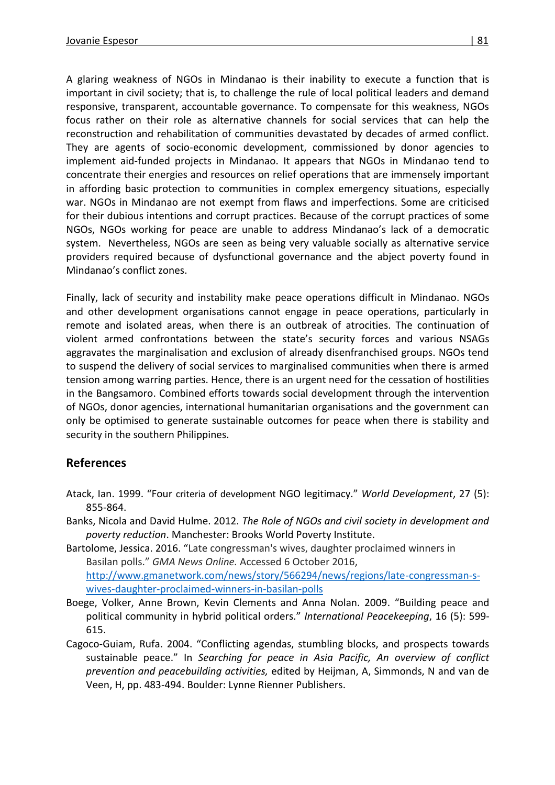A glaring weakness of NGOs in Mindanao is their inability to execute a function that is important in civil society; that is, to challenge the rule of local political leaders and demand responsive, transparent, accountable governance. To compensate for this weakness, NGOs focus rather on their role as alternative channels for social services that can help the reconstruction and rehabilitation of communities devastated by decades of armed conflict. They are agents of socio-economic development, commissioned by donor agencies to implement aid-funded projects in Mindanao. It appears that NGOs in Mindanao tend to concentrate their energies and resources on relief operations that are immensely important in affording basic protection to communities in complex emergency situations, especially war. NGOs in Mindanao are not exempt from flaws and imperfections. Some are criticised for their dubious intentions and corrupt practices. Because of the corrupt practices of some NGOs, NGOs working for peace are unable to address Mindanao's lack of a democratic system. Nevertheless, NGOs are seen as being very valuable socially as alternative service providers required because of dysfunctional governance and the abject poverty found in Mindanao's conflict zones.

Finally, lack of security and instability make peace operations difficult in Mindanao. NGOs and other development organisations cannot engage in peace operations, particularly in remote and isolated areas, when there is an outbreak of atrocities. The continuation of violent armed confrontations between the state's security forces and various NSAGs aggravates the marginalisation and exclusion of already disenfranchised groups. NGOs tend to suspend the delivery of social services to marginalised communities when there is armed tension among warring parties. Hence, there is an urgent need for the cessation of hostilities in the Bangsamoro. Combined efforts towards social development through the intervention of NGOs, donor agencies, international humanitarian organisations and the government can only be optimised to generate sustainable outcomes for peace when there is stability and security in the southern Philippines.

### **References**

- Atack, Ian. 1999. "Four criteria of development NGO legitimacy." *World Development*, 27 (5): 855-864.
- Banks, Nicola and David Hulme. 2012. *The Role of NGOs and civil society in development and poverty reduction*. Manchester: Brooks World Poverty Institute.
- Bartolome, Jessica. 2016. "Late congressman's wives, daughter proclaimed winners in Basilan polls." *GMA News Online.* Accessed 6 October 2016, [http://www.gmanetwork.com/news/story/566294/news/regions/late-congressman-s](http://www.gmanetwork.com/news/story/566294/news/regions/late-congressman-s-wives-daughter-proclaimed-winners-in-basilan-polls)[wives-daughter-proclaimed-winners-in-basilan-polls](http://www.gmanetwork.com/news/story/566294/news/regions/late-congressman-s-wives-daughter-proclaimed-winners-in-basilan-polls)
- Boege, Volker, Anne Brown, Kevin Clements and Anna Nolan. 2009. "Building peace and political community in hybrid political orders." *International Peacekeeping*, 16 (5): 599- 615.
- Cagoco-Guiam, Rufa. 2004. "Conflicting agendas, stumbling blocks, and prospects towards sustainable peace." In *Searching for peace in Asia Pacific, An overview of conflict prevention and peacebuilding activities,* edited by Heijman, A, Simmonds, N and van de Veen, H, pp. 483-494. Boulder: Lynne Rienner Publishers.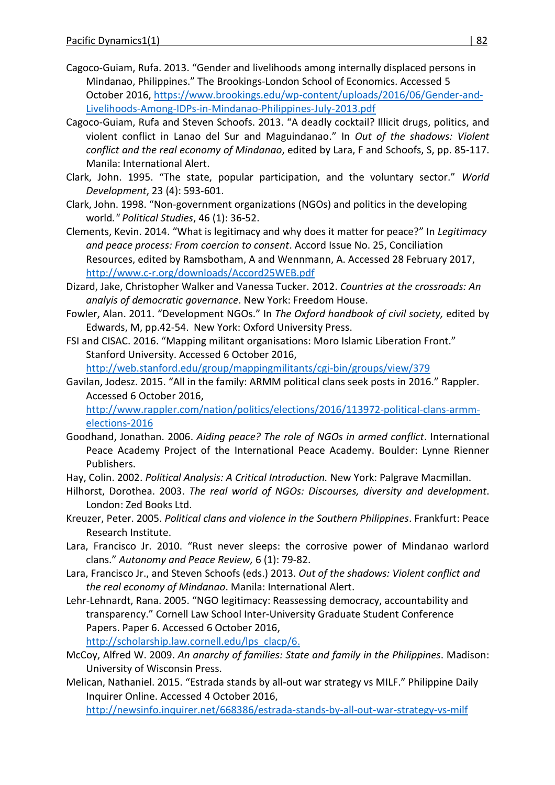- Cagoco-Guiam, Rufa. 2013. "Gender and livelihoods among internally displaced persons in Mindanao, Philippines." The Brookings-London School of Economics. Accessed 5 October 2016, [https://www.brookings.edu/wp-content/uploads/2016/06/Gender-and-](https://www.brookings.edu/wp-content/uploads/2016/06/Gender-and-Livelihoods-Among-IDPs-in-Mindanao-Philippines-July-2013.pdf)[Livelihoods-Among-IDPs-in-Mindanao-Philippines-July-2013.pdf](https://www.brookings.edu/wp-content/uploads/2016/06/Gender-and-Livelihoods-Among-IDPs-in-Mindanao-Philippines-July-2013.pdf)
- Cagoco-Guiam, Rufa and Steven Schoofs. 2013. "A deadly cocktail? Illicit drugs, politics, and violent conflict in Lanao del Sur and Maguindanao." In *Out of the shadows: Violent conflict and the real economy of Mindanao*, edited by Lara, F and Schoofs, S, pp. 85-117. Manila: International Alert.
- Clark, John. 1995. "The state, popular participation, and the voluntary sector." *World Development*, 23 (4): 593-601.
- Clark, John. 1998. "Non-government organizations (NGOs) and politics in the developing world*." Political Studies*, 46 (1): 36-52.
- Clements, Kevin. 2014. "What is legitimacy and why does it matter for peace?" In *Legitimacy and peace process: From coercion to consent*. Accord Issue No. 25, Conciliation Resources, edited by Ramsbotham, A and Wennmann, A. Accessed 28 February 2017, <http://www.c-r.org/downloads/Accord25WEB.pdf>
- Dizard, Jake, Christopher Walker and Vanessa Tucker. 2012. *Countries at the crossroads: An analyis of democratic governance*. New York: Freedom House.
- Fowler, Alan. 2011. "Development NGOs." In *The Oxford handbook of civil society,* edited by Edwards, M, pp.42-54. New York: Oxford University Press.
- FSI and CISAC. 2016. "Mapping militant organisations: Moro Islamic Liberation Front." Stanford University. Accessed 6 October 2016,

<http://web.stanford.edu/group/mappingmilitants/cgi-bin/groups/view/379>

Gavilan, Jodesz. 2015. "All in the family: ARMM political clans seek posts in 2016." Rappler. Accessed 6 October 2016,

[http://www.rappler.com/nation/politics/elections/2016/113972-political-clans-armm](http://www.rappler.com/nation/politics/elections/2016/113972-political-clans-armm-elections-2016)[elections-2016](http://www.rappler.com/nation/politics/elections/2016/113972-political-clans-armm-elections-2016)

- Goodhand, Jonathan. 2006. *Aiding peace? The role of NGOs in armed conflict*. International Peace Academy Project of the International Peace Academy. Boulder: Lynne Rienner Publishers.
- Hay, Colin. 2002. *Political Analysis: A Critical Introduction.* New York: Palgrave Macmillan.
- Hilhorst, Dorothea. 2003. *The real world of NGOs: Discourses, diversity and development*. London: Zed Books Ltd.
- Kreuzer, Peter. 2005. *Political clans and violence in the Southern Philippines*. Frankfurt: Peace Research Institute.
- Lara, Francisco Jr. 2010. "Rust never sleeps: the corrosive power of Mindanao warlord clans." *Autonomy and Peace Review,* 6 (1): 79-82.
- Lara, Francisco Jr., and Steven Schoofs (eds.) 2013. *Out of the shadows: Violent conflict and the real economy of Mindanao*. Manila: International Alert.
- Lehr-Lehnardt, Rana. 2005. "NGO legitimacy: Reassessing democracy, accountability and transparency." Cornell Law School Inter-University Graduate Student Conference Papers. Paper 6. Accessed 6 October 2016,

[http://scholarship.law.cornell.edu/lps\\_clacp/6.](http://scholarship.law.cornell.edu/lps_clacp/6)

- McCoy, Alfred W. 2009. *An anarchy of families: State and family in the Philippines*. Madison: University of Wisconsin Press.
- Melican, Nathaniel. 2015. "Estrada stands by all-out war strategy vs MILF." Philippine Daily Inquirer Online. Accessed 4 October 2016,

<http://newsinfo.inquirer.net/668386/estrada-stands-by-all-out-war-strategy-vs-milf>